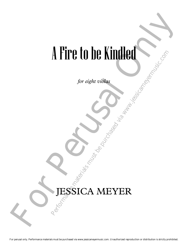## Performance materials must be purchased via www.jessicameyermusic.com<br>
Performance materials must be purchased via where the purchase of the purchase of the purchase of the purchase of the purchase of the purchase of the p **Department of the Concept of Concept and Concept of Concept and Concept and Concept and Concept and Concept and** A Fire to be Kindled

for eight violas

# for eight violas JESSICA MEYER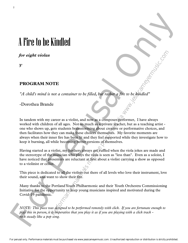## A Fire to be Kindled

*for eight violas*

**3'**

### **PROGRAM NOTE**

*"A child's mind is not a container to be filled, but rather a fire to be kindled"*

-Dorothea Brande

**PTE**<br> **Example 2018**<br> **Example 2018**<br> **Example 2018**<br> **Example 2018**<br> **Example 2018**<br> **Example 2018**<br> **Example 2018**<br> **Example 2018**<br> **Example 2018**<br> **Example 2018**<br> **Example 2018**<br> **Example 2019**<br> **Example 2019**<br> **Examp A Tip (0) Die Kintelleel**<br>
for eighte violas s<br>
3'<br> **PROGRAM NOTE**<br>
2' child's mind is not a container to be filled, but make a specie to be finited<br>
2' child's mind is not a container of be filled, but make a specie t In tandem with my career as a violist, and now as a composer/performer, I have always worked with children of all ages. Not so much as a private teacher, but as a teaching artist one who shows up, gets students brainstorming about creative or performative choices, and then facilitates how they can make these choices themselves. My favorite moments are always when their inner fire has been lit and they feel supported while they investigate how to keep it burning, all while becoming better versions of themselves.

Having started as a violist, my feathers always get ruffled when the viola jokes are made and the stereotype of the musician who plays the viola is seen as "less than". Even as a soloist, I have noticed that presenters are reluctant at first about a violist carrying a show as opposed to a violinist or cellist.

This piece is dedicated to all the violists out there of all levels who love their instrument, love their sound, and want to show their fire.

Many thanks to the Portland Youth Philharmonic and their Youth Orchestra Commissioning Initiative for the opportunity to keep young musicians inspired and motivated during the Covid-19 pandemic.

*NOTE: This piece was designed to be performed remotely with click. If you are fortunate enough to play this in person, it is imperative that you play it as if you are playing with a click track rock steady like a pop song.*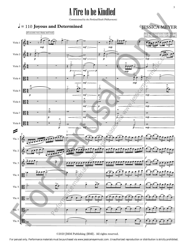### A Fire to be Kindled

*Commissioned by the Portland Youth Philharmonic*

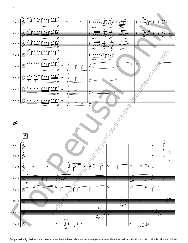



4

=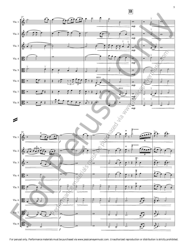

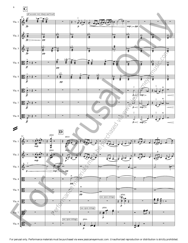

For perusal only. Performance materials must be purchased via www.jessicameyermusic.com. Unauthorized reproduction or distribution is strictly prohibited.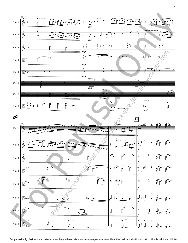

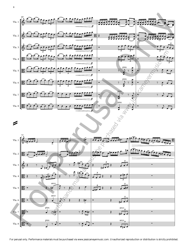



8

 $\mathbf{z}$  and the set of  $\mathbf{z}$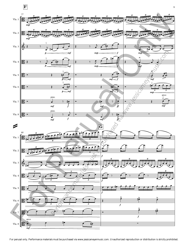



 $\begin{array}{ccccccccccccccccc}\n3 & & 3 & & 3 & & 3\n\end{array}$ 

 $\overrightarrow{e}$ 

 $\overline{C}$   $\overline{C}$   $\overline{C}$   $\overline{C}$   $\overline{C}$   $\overline{C}$   $\overline{C}$   $\overline{C}$   $\overline{C}$ 

*f*

*f*

Ó compositor de la compositor de la compositor de la compositor de la compositor de la compositor de la compositor<br>En la compositor de la compositor de la compositor de la compositor de la compositor de la compositor de l

∑

>- >-

Vla. 8 **(15 f)** 

*mf*

 $\mathbb{R}$   $\rightarrow$   $\rightarrow$ 

 $\frac{1}{5}$  $\frac{1}{2}$ 

Vla. 7